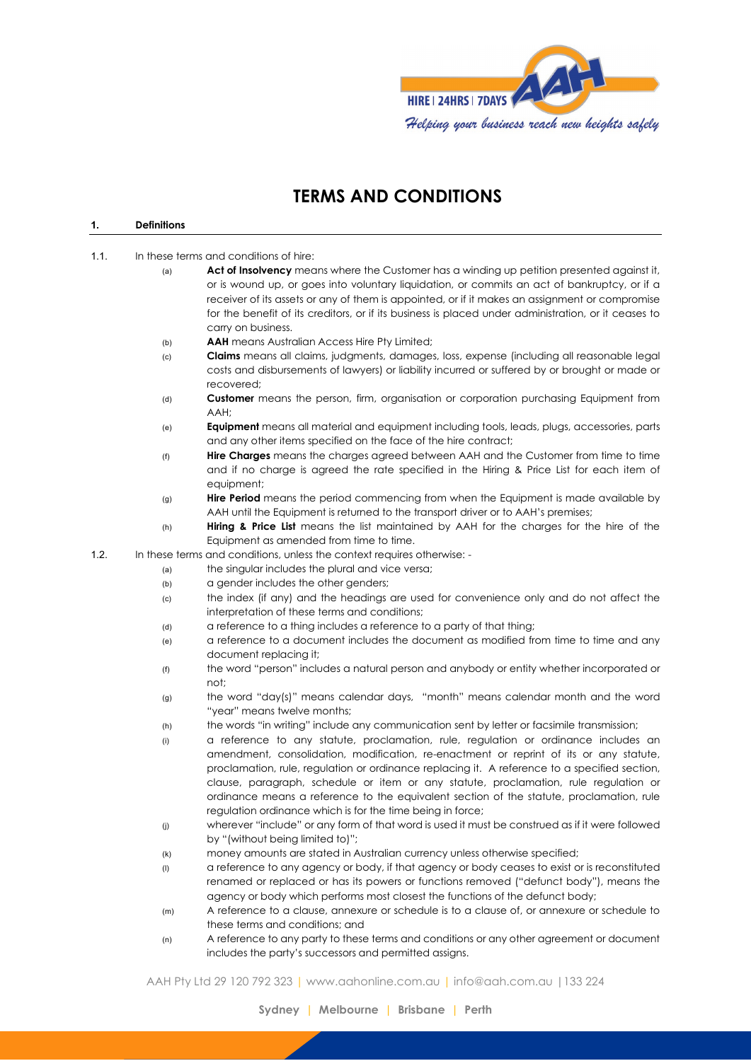

# **TERMS AND CONDITIONS**

#### **1. Definitions**

- 1.1. In these terms and conditions of hire:
	- (a) **Act of Insolvency** means where the Customer has a winding up petition presented against it, or is wound up, or goes into voluntary liquidation, or commits an act of bankruptcy, or if a receiver of its assets or any of them is appointed, or if it makes an assignment or compromise for the benefit of its creditors, or if its business is placed under administration, or it ceases to carry on business.
	- (b) **AAH** means Australian Access Hire Pty Limited;
	- (c) **Claims** means all claims, judgments, damages, loss, expense (including all reasonable legal costs and disbursements of lawyers) or liability incurred or suffered by or brought or made or recovered;
	- (d) **Customer** means the person, firm, organisation or corporation purchasing Equipment from AAH;
	- (e) **Equipment** means all material and equipment including tools, leads, plugs, accessories, parts and any other items specified on the face of the hire contract;
	- (f) **Hire Charges** means the charges agreed between AAH and the Customer from time to time and if no charge is agreed the rate specified in the Hiring & Price List for each item of equipment;
	- (g) **Hire Period** means the period commencing from when the Equipment is made available by AAH until the Equipment is returned to the transport driver or to AAH's premises;
	- (h) **Hiring & Price List** means the list maintained by AAH for the charges for the hire of the Equipment as amended from time to time.
- 1.2. In these terms and conditions, unless the context requires otherwise:
	- (a) the singular includes the plural and vice versa;
	- (b) a gender includes the other genders;
	- (c) the index (if any) and the headings are used for convenience only and do not affect the interpretation of these terms and conditions;
	- (d) a reference to a thing includes a reference to a party of that thing;
	- (e) a reference to a document includes the document as modified from time to time and any document replacing it;
	- (f) the word "person" includes a natural person and anybody or entity whether incorporated or not;
	- $(9)$  the word "day(s)" means calendar days, "month" means calendar month and the word "year" means twelve months;
	- (h) the words "in writing" include any communication sent by letter or facsimile transmission;
	- (i) a reference to any statute, proclamation, rule, regulation or ordinance includes an amendment, consolidation, modification, re-enactment or reprint of its or any statute, proclamation, rule, regulation or ordinance replacing it. A reference to a specified section, clause, paragraph, schedule or item or any statute, proclamation, rule regulation or ordinance means a reference to the equivalent section of the statute, proclamation, rule regulation ordinance which is for the time being in force;
	- (j) wherever "include" or any form of that word is used it must be construed as if it were followed by "(without being limited to)";
	- (k) money amounts are stated in Australian currency unless otherwise specified;
	- (l) a reference to any agency or body, if that agency or body ceases to exist or is reconstituted renamed or replaced or has its powers or functions removed ("defunct body"), means the agency or body which performs most closest the functions of the defunct body;
	- (m) A reference to a clause, annexure or schedule is to a clause of, or annexure or schedule to these terms and conditions; and
	- (n) A reference to any party to these terms and conditions or any other agreement or document includes the party's successors and permitted assigns.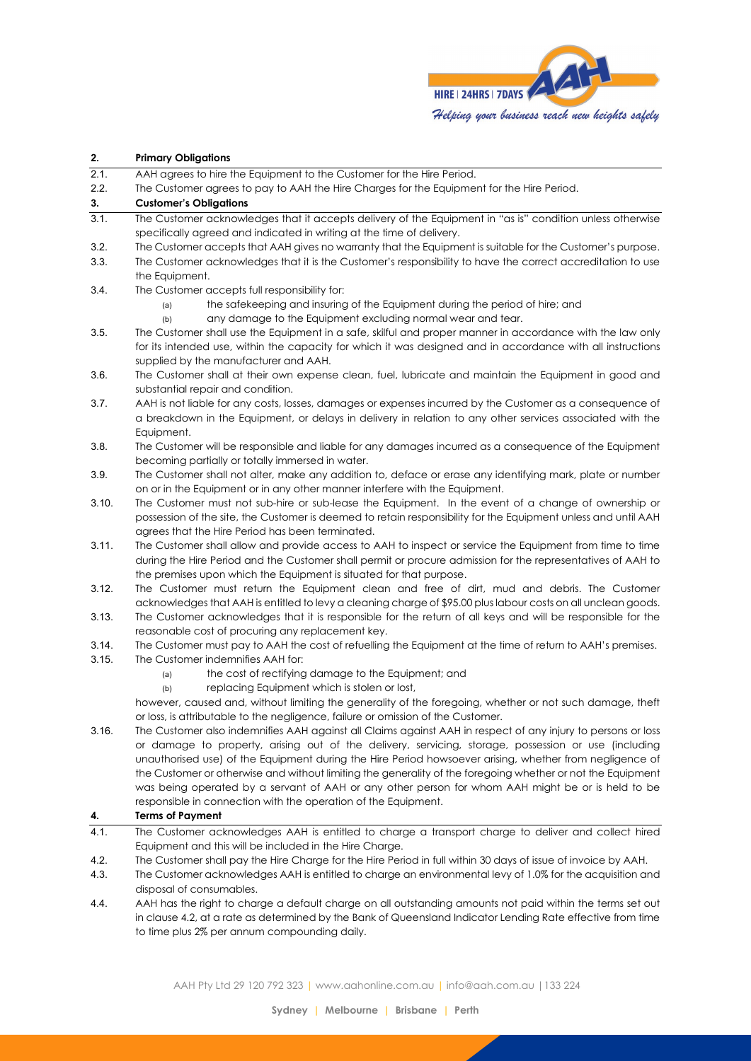

## **2. Primary Obligations** 2.1. AAH agrees to hire the Equipment to the Customer for the Hire Period. 2.2. The Customer agrees to pay to AAH the Hire Charges for the Equipment for the Hire Period. **3. Customer's Obligations** 3.1. The Customer acknowledges that it accepts delivery of the Equipment in "as is" condition unless otherwise specifically agreed and indicated in writing at the time of delivery. 3.2. The Customer accepts that AAH gives no warranty that the Equipment is suitable for the Customer's purpose. 3.3. The Customer acknowledges that it is the Customer's responsibility to have the correct accreditation to use the Equipment. 3.4. The Customer accepts full responsibility for: (a) the safekeeping and insuring of the Equipment during the period of hire; and (b) any damage to the Equipment excluding normal wear and tear. 3.5. The Customer shall use the Equipment in a safe, skilful and proper manner in accordance with the law only for its intended use, within the capacity for which it was designed and in accordance with all instructions supplied by the manufacturer and AAH. 3.6. The Customer shall at their own expense clean, fuel, lubricate and maintain the Equipment in good and substantial repair and condition. 3.7. AAH is not liable for any costs, losses, damages or expenses incurred by the Customer as a consequence of a breakdown in the Equipment, or delays in delivery in relation to any other services associated with the Equipment. 3.8. The Customer will be responsible and liable for any damages incurred as a consequence of the Equipment becoming partially or totally immersed in water. 3.9. The Customer shall not alter, make any addition to, deface or erase any identifying mark, plate or number on or in the Equipment or in any other manner interfere with the Equipment. 3.10. The Customer must not sub-hire or sub-lease the Equipment. In the event of a change of ownership or possession of the site, the Customer is deemed to retain responsibility for the Equipment unless and until AAH agrees that the Hire Period has been terminated. 3.11. The Customer shall allow and provide access to AAH to inspect or service the Equipment from time to time during the Hire Period and the Customer shall permit or procure admission for the representatives of AAH to the premises upon which the Equipment is situated for that purpose. 3.12. The Customer must return the Equipment clean and free of dirt, mud and debris. The Customer acknowledges that AAH is entitled to levy a cleaning charge of \$95.00 plus labour costs on all unclean goods. 3.13. The Customer acknowledges that it is responsible for the return of all keys and will be responsible for the reasonable cost of procuring any replacement key. 3.14. The Customer must pay to AAH the cost of refuelling the Equipment at the time of return to AAH's premises. 3.15. The Customer indemnifies AAH for: (a) the cost of rectifying damage to the Equipment; and (b) replacing Equipment which is stolen or lost, however, caused and, without limiting the generality of the foregoing, whether or not such damage, theft or loss, is attributable to the negligence, failure or omission of the Customer. 3.16. The Customer also indemnifies AAH against all Claims against AAH in respect of any injury to persons or loss or damage to property, arising out of the delivery, servicing, storage, possession or use (including unauthorised use) of the Equipment during the Hire Period howsoever arising, whether from negligence of the Customer or otherwise and without limiting the generality of the foregoing whether or not the Equipment was being operated by a servant of AAH or any other person for whom AAH might be or is held to be responsible in connection with the operation of the Equipment. **4. Terms of Payment** 4.1. The Customer acknowledges AAH is entitled to charge a transport charge to deliver and collect hired Equipment and this will be included in the Hire Charge. 4.2. The Customer shall pay the Hire Charge for the Hire Period in full within 30 days of issue of invoice by AAH. 4.3. The Customer acknowledges AAH is entitled to charge an environmental levy of 1.0% for the acquisition and

disposal of consumables. 4.4. AAH has the right to charge a default charge on all outstanding amounts not paid within the terms set out in clause 4.2, at a rate as determined by the Bank of Queensland Indicator Lending Rate effective from time to time plus 2% per annum compounding daily.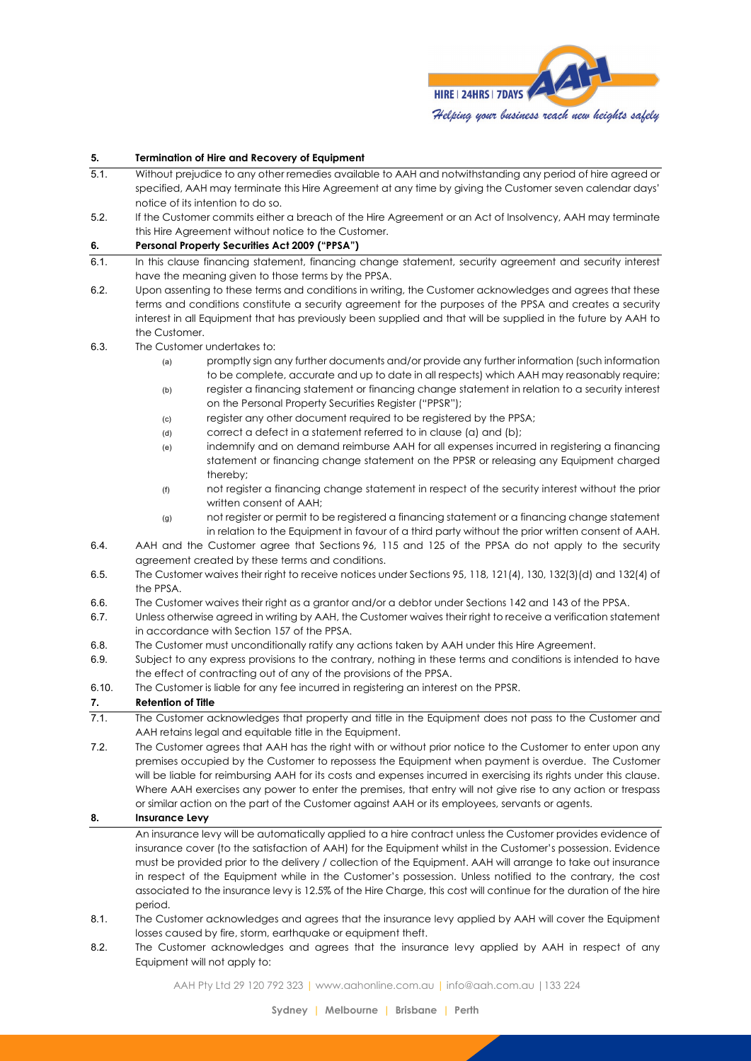

#### **5. Termination of Hire and Recovery of Equipment**

- 5.1. Without prejudice to any other remedies available to AAH and notwithstanding any period of hire agreed or specified, AAH may terminate this Hire Agreement at any time by giving the Customer seven calendar days' notice of its intention to do so.
- 5.2. If the Customer commits either a breach of the Hire Agreement or an Act of Insolvency, AAH may terminate this Hire Agreement without notice to the Customer.

### **6. Personal Property Securities Act 2009 ("PPSA")**

- 6.1. In this clause financing statement, financing change statement, security agreement and security interest have the meaning given to those terms by the PPSA.
- 6.2. Upon assenting to these terms and conditions in writing, the Customer acknowledges and agrees that these terms and conditions constitute a security agreement for the purposes of the PPSA and creates a security interest in all Equipment that has previously been supplied and that will be supplied in the future by AAH to the Customer.
- 6.3. The Customer undertakes to:
	- (a) promptly sign any further documents and/or provide any further information (such information to be complete, accurate and up to date in all respects) which AAH may reasonably require;
	- (b) register a financing statement or financing change statement in relation to a security interest on the Personal Property Securities Register ("PPSR");
	- (c) register any other document required to be registered by the PPSA;
	- (d) correct a defect in a statement referred to in clause (a) and (b);
	- (e) indemnify and on demand reimburse AAH for all expenses incurred in registering a financing statement or financing change statement on the PPSR or releasing any Equipment charged thereby;
	- (f) not register a financing change statement in respect of the security interest without the prior written consent of AAH;
	- (g) not register or permit to be registered a financing statement or a financing change statement in relation to the Equipment in favour of a third party without the prior written consent of AAH.
- 6.4. AAH and the Customer agree that Sections 96, 115 and 125 of the PPSA do not apply to the security agreement created by these terms and conditions.
- 6.5. The Customer waives their right to receive notices under Sections 95, 118, 121(4), 130, 132(3)(d) and 132(4) of the PPSA.
- 6.6. The Customer waives their right as a grantor and/or a debtor under Sections 142 and 143 of the PPSA.
- 6.7. Unless otherwise agreed in writing by AAH, the Customer waives their right to receive a verification statement in accordance with Section 157 of the PPSA.
- 6.8. The Customer must unconditionally ratify any actions taken by AAH under this Hire Agreement.
- 6.9. Subject to any express provisions to the contrary, nothing in these terms and conditions is intended to have the effect of contracting out of any of the provisions of the PPSA.
- 6.10. The Customer is liable for any fee incurred in registering an interest on the PPSR.

### **7. Retention of Title**

- 7.1. The Customer acknowledges that property and title in the Equipment does not pass to the Customer and AAH retains legal and equitable title in the Equipment.
- 7.2. The Customer agrees that AAH has the right with or without prior notice to the Customer to enter upon any premises occupied by the Customer to repossess the Equipment when payment is overdue. The Customer will be liable for reimbursing AAH for its costs and expenses incurred in exercising its rights under this clause. Where AAH exercises any power to enter the premises, that entry will not give rise to any action or trespass or similar action on the part of the Customer against AAH or its employees, servants or agents.

### **8. Insurance Levy**

An insurance levy will be automatically applied to a hire contract unless the Customer provides evidence of insurance cover (to the satisfaction of AAH) for the Equipment whilst in the Customer's possession. Evidence must be provided prior to the delivery / collection of the Equipment. AAH will arrange to take out insurance in respect of the Equipment while in the Customer's possession. Unless notified to the contrary, the cost associated to the insurance levy is 12.5% of the Hire Charge, this cost will continue for the duration of the hire period.

- 8.1. The Customer acknowledges and agrees that the insurance levy applied by AAH will cover the Equipment losses caused by fire, storm, earthquake or equipment theft.
- 8.2. The Customer acknowledges and agrees that the insurance levy applied by AAH in respect of any Equipment will not apply to: